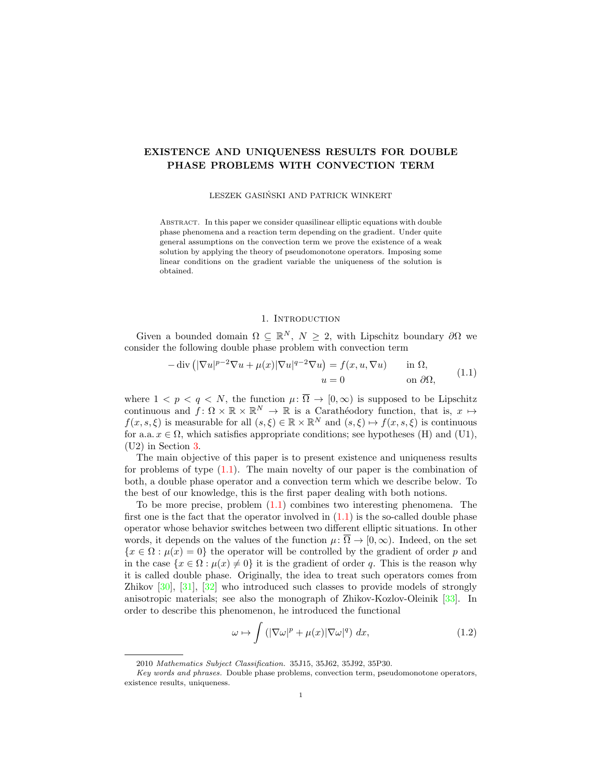# EXISTENCE AND UNIQUENESS RESULTS FOR DOUBLE PHASE PROBLEMS WITH CONVECTION TERM

### LESZEK GASINSKI AND PATRICK WINKERT ´

Abstract. In this paper we consider quasilinear elliptic equations with double phase phenomena and a reaction term depending on the gradient. Under quite general assumptions on the convection term we prove the existence of a weak solution by applying the theory of pseudomonotone operators. Imposing some linear conditions on the gradient variable the uniqueness of the solution is obtained.

# 1. INTRODUCTION

Given a bounded domain  $\Omega \subseteq \mathbb{R}^N$ ,  $N \geq 2$ , with Lipschitz boundary  $\partial \Omega$  we consider the following double phase problem with convection term

<span id="page-0-0"></span>
$$
-\operatorname{div}\left(|\nabla u|^{p-2}\nabla u + \mu(x)|\nabla u|^{q-2}\nabla u\right) = f(x, u, \nabla u) \quad \text{in } \Omega,
$$
  
\n
$$
u = 0 \quad \text{on } \partial\Omega,
$$
\n(1.1)

where  $1 < p < q < N$ , the function  $\mu : \overline{\Omega} \to [0, \infty)$  is supposed to be Lipschitz continuous and  $f: \Omega \times \mathbb{R} \times \mathbb{R}^N \to \mathbb{R}$  is a Carathéodory function, that is,  $x \mapsto$  $f(x, s, \xi)$  is measurable for all  $(s, \xi) \in \mathbb{R} \times \mathbb{R}^N$  and  $(s, \xi) \mapsto f(x, s, \xi)$  is continuous for a.a.  $x \in \Omega$ , which satisfies appropriate conditions; see hypotheses (H) and (U1), (U2) in Section [3.](#page-3-0)

The main objective of this paper is to present existence and uniqueness results for problems of type [\(1.1\)](#page-0-0). The main novelty of our paper is the combination of both, a double phase operator and a convection term which we describe below. To the best of our knowledge, this is the first paper dealing with both notions.

To be more precise, problem  $(1.1)$  combines two interesting phenomena. The first one is the fact that the operator involved in  $(1.1)$  is the so-called double phase operator whose behavior switches between two different elliptic situations. In other words, it depends on the values of the function  $\mu: \overline{\Omega} \to [0, \infty)$ . Indeed, on the set  ${x \in \Omega : \mu(x) = 0}$  the operator will be controlled by the gradient of order p and in the case  $\{x \in \Omega : \mu(x) \neq 0\}$  it is the gradient of order q. This is the reason why it is called double phase. Originally, the idea to treat such operators comes from Zhikov [\[30\]](#page-8-0), [\[31\]](#page-8-1), [\[32\]](#page-8-2) who introduced such classes to provide models of strongly anisotropic materials; see also the monograph of Zhikov-Kozlov-Oleinik [\[33\]](#page-8-3). In order to describe this phenomenon, he introduced the functional

<span id="page-0-1"></span>
$$
\omega \mapsto \int \left( |\nabla \omega|^p + \mu(x) |\nabla \omega|^q \right) dx, \tag{1.2}
$$

<sup>2010</sup> Mathematics Subject Classification. 35J15, 35J62, 35J92, 35P30.

Key words and phrases. Double phase problems, convection term, pseudomonotone operators, existence results, uniqueness.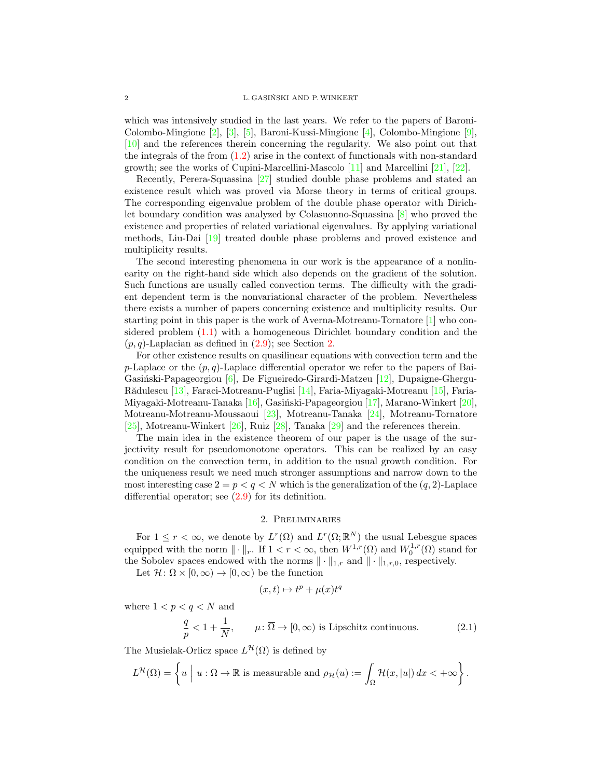which was intensively studied in the last years. We refer to the papers of Baroni-Colombo-Mingione [\[2\]](#page-7-0), [\[3\]](#page-7-1), [\[5\]](#page-7-2), Baroni-Kussi-Mingione [\[4\]](#page-7-3), Colombo-Mingione [\[9\]](#page-7-4), [\[10\]](#page-7-5) and the references therein concerning the regularity. We also point out that the integrals of the from [\(1.2\)](#page-0-1) arise in the context of functionals with non-standard growth; see the works of Cupini-Marcellini-Mascolo [\[11\]](#page-7-6) and Marcellini [\[21\]](#page-8-4), [\[22\]](#page-8-5).

Recently, Perera-Squassina [\[27\]](#page-8-6) studied double phase problems and stated an existence result which was proved via Morse theory in terms of critical groups. The corresponding eigenvalue problem of the double phase operator with Dirichlet boundary condition was analyzed by Colasuonno-Squassina [\[8\]](#page-7-7) who proved the existence and properties of related variational eigenvalues. By applying variational methods, Liu-Dai [\[19\]](#page-8-7) treated double phase problems and proved existence and multiplicity results.

The second interesting phenomena in our work is the appearance of a nonlinearity on the right-hand side which also depends on the gradient of the solution. Such functions are usually called convection terms. The difficulty with the gradient dependent term is the nonvariational character of the problem. Nevertheless there exists a number of papers concerning existence and multiplicity results. Our starting point in this paper is the work of Averna-Motreanu-Tornatore [\[1\]](#page-7-8) who considered problem [\(1.1\)](#page-0-0) with a homogeneous Dirichlet boundary condition and the  $(p, q)$ -Laplacian as defined in  $(2.9)$ ; see Section [2.](#page-1-0)

For other existence results on quasilinear equations with convection term and the p-Laplace or the  $(p, q)$ -Laplace differential operator we refer to the papers of Bai-Gasiński-Papageorgiou  $[6]$ , De Figueiredo-Girardi-Matzeu  $[12]$ , Dupaigne-Ghergu-Rădulescu [\[13\]](#page-8-9), Faraci-Motreanu-Puglisi [\[14\]](#page-8-10), Faria-Miyagaki-Motreanu [\[15\]](#page-8-11), Faria-Miyagaki-Motreanu-Tanaka  $[16]$ , Gasiński-Papageorgiou  $[17]$ , Marano-Winkert  $[20]$ , Motreanu-Motreanu-Moussaoui [\[23\]](#page-8-15), Motreanu-Tanaka [\[24\]](#page-8-16), Motreanu-Tornatore [\[25\]](#page-8-17), Motreanu-Winkert [\[26\]](#page-8-18), Ruiz [\[28\]](#page-8-19), Tanaka [\[29\]](#page-8-20) and the references therein.

The main idea in the existence theorem of our paper is the usage of the surjectivity result for pseudomonotone operators. This can be realized by an easy condition on the convection term, in addition to the usual growth condition. For the uniqueness result we need much stronger assumptions and narrow down to the most interesting case  $2 = p < q < N$  which is the generalization of the  $(q, 2)$ -Laplace differential operator; see  $(2.9)$  for its definition.

## 2. Preliminaries

<span id="page-1-0"></span>For  $1 \leq r < \infty$ , we denote by  $L^r(\Omega)$  and  $L^r(\Omega;\mathbb{R}^N)$  the usual Lebesgue spaces equipped with the norm  $\|\cdot\|_r$ . If  $1 < r < \infty$ , then  $W^{1,r}(\Omega)$  and  $W^{1,r}_0(\Omega)$  stand for the Sobolev spaces endowed with the norms  $\|\cdot\|_{1,r}$  and  $\|\cdot\|_{1,r,0}$ , respectively.

Let  $\mathcal{H} \colon \Omega \times [0, \infty) \to [0, \infty)$  be the function

<span id="page-1-1"></span>
$$
(x,t)\mapsto t^p+\mu(x)t^q
$$

where  $1 < p < q < N$  and

$$
\frac{q}{p} < 1 + \frac{1}{N}, \qquad \mu \colon \overline{\Omega} \to [0, \infty) \text{ is Lipschitz continuous.} \tag{2.1}
$$

The Musielak-Orlicz space  $L^{\mathcal{H}}(\Omega)$  is defined by

$$
L^{\mathcal{H}}(\Omega) = \left\{ u \mid u : \Omega \to \mathbb{R} \text{ is measurable and } \rho_{\mathcal{H}}(u) := \int_{\Omega} \mathcal{H}(x, |u|) dx < +\infty \right\}.
$$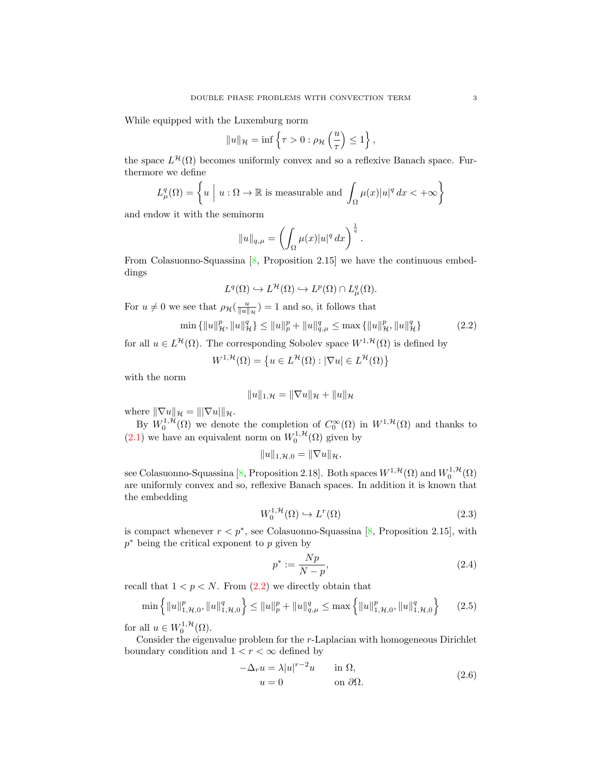While equipped with the Luxemburg norm

$$
||u||_{\mathcal{H}} = \inf \left\{ \tau > 0 : \rho_{\mathcal{H}} \left( \frac{u}{\tau} \right) \le 1 \right\},\
$$

the space  $L^{\mathcal{H}}(\Omega)$  becomes uniformly convex and so a reflexive Banach space. Furthermore we define

$$
L^q_\mu(\Omega) = \left\{ u \mid u : \Omega \to \mathbb{R} \text{ is measurable and } \int_{\Omega} \mu(x) |u|^q dx < +\infty \right\}
$$

and endow it with the seminorm

$$
||u||_{q,\mu} = \left(\int_{\Omega} \mu(x)|u|^q dx\right)^{\frac{1}{q}}.
$$

From Colasuonno-Squassina  $[8,$  Proposition 2.15] we have the continuous embeddings

$$
L^q(\Omega) \hookrightarrow L^{\mathcal{H}}(\Omega) \hookrightarrow L^p(\Omega) \cap L^q_{\mu}(\Omega).
$$

For  $u \neq 0$  we see that  $\rho_{\mathcal{H}}(\frac{u}{\|u\|_{\mathcal{H}}}) = 1$  and so, it follows that

$$
\min\left\{\|u\|_{\mathcal{H}}^p, \|u\|_{\mathcal{H}}^q\right\} \le \|u\|_{p}^p + \|u\|_{q,\mu}^q \le \max\left\{\|u\|_{\mathcal{H}}^p, \|u\|_{\mathcal{H}}^q\right\} \tag{2.2}
$$

for all  $u \in L^{\mathcal{H}}(\Omega)$ . The corresponding Sobolev space  $W^{1,\mathcal{H}}(\Omega)$  is defined by

$$
W^{1,\mathcal{H}}(\Omega) = \left\{ u \in L^{\mathcal{H}}(\Omega) : |\nabla u| \in L^{\mathcal{H}}(\Omega) \right\}
$$

with the norm

<span id="page-2-0"></span>
$$
||u||_{1,\mathcal{H}} = ||\nabla u||_{\mathcal{H}} + ||u||_{\mathcal{H}}
$$

where  $\|\nabla u\|_{\mathcal{H}} = \| |\nabla u| \|_{\mathcal{H}}.$ 

By  $W_0^{1,\mathcal{H}}(\Omega)$  we denote the completion of  $C_0^{\infty}(\Omega)$  in  $W^{1,\mathcal{H}}(\Omega)$  and thanks to [\(2.1\)](#page-1-1) we have an equivalent norm on  $W_0^{1, \mathcal{H}}(\Omega)$  given by

$$
||u||_{1,\mathcal{H},0}=||\nabla u||_{\mathcal{H}},
$$

see Colasuonno-Squassina [\[8,](#page-7-7) Proposition 2.18]. Both spaces  $W^{1, \mathcal{H}}(\Omega)$  and  $W_0^{1, \mathcal{H}}(\Omega)$ are uniformly convex and so, reflexive Banach spaces. In addition it is known that the embedding

$$
W_0^{1, \mathcal{H}}(\Omega) \hookrightarrow L^r(\Omega) \tag{2.3}
$$

is compact whenever  $r < p^*$ , see Colasuonno-Squassina [\[8,](#page-7-7) Proposition 2.15], with  $p^*$  being the critical exponent to  $p$  given by

<span id="page-2-4"></span><span id="page-2-3"></span><span id="page-2-2"></span>
$$
p^* := \frac{Np}{N - p},\tag{2.4}
$$

recall that  $1 < p < N$ . From  $(2.2)$  we directly obtain that

$$
\min\left\{\|u\|_{1,\mathcal{H},0}^{p},\|u\|_{1,\mathcal{H},0}^{q}\right\} \leq \|u\|_{p}^{p} + \|u\|_{q,\mu}^{q} \leq \max\left\{\|u\|_{1,\mathcal{H},0}^{p},\|u\|_{1,\mathcal{H},0}^{q}\right\} \tag{2.5}
$$

for all  $u \in W_0^{1, \mathcal{H}}(\Omega)$ .

Consider the eigenvalue problem for the r-Laplacian with homogeneous Dirichlet boundary condition and  $1 < r < \infty$  defined by

<span id="page-2-1"></span>
$$
-\Delta_r u = \lambda |u|^{r-2}u \qquad \text{in } \Omega,
$$
  
 
$$
u = 0 \qquad \text{on } \partial\Omega.
$$
 (2.6)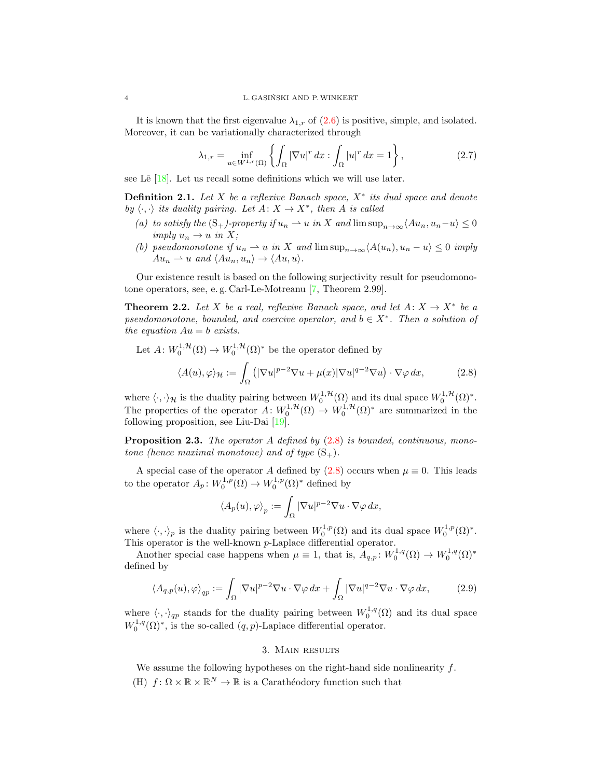It is known that the first eigenvalue  $\lambda_{1,r}$  of [\(2.6\)](#page-2-1) is positive, simple, and isolated. Moreover, it can be variationally characterized through

<span id="page-3-5"></span>
$$
\lambda_{1,r} = \inf_{u \in W^{1,r}(\Omega)} \left\{ \int_{\Omega} |\nabla u|^r dx : \int_{\Omega} |u|^r dx = 1 \right\},\tag{2.7}
$$

see Lê  $[18]$ . Let us recall some definitions which we will use later.

<span id="page-3-3"></span>**Definition 2.1.** Let X be a reflexive Banach space,  $X^*$  its dual space and denote by  $\langle \cdot, \cdot \rangle$  its duality pairing. Let  $A: X \to X^*$ , then A is called

- (a) to satisfy the  $(S_+)$ -property if  $u_n \rightharpoonup u$  in X and  $\limsup_{n\to\infty}$   $\langle Au_n, u_n-u \rangle \leq 0$ imply  $u_n \to u$  in X;
- (b) pseudomonotone if  $u_n \rightharpoonup u$  in X and  $\limsup_{n \to \infty} \langle A(u_n), u_n u \rangle \leq 0$  imply  $Au_n \rightharpoonup u$  and  $\langle Au_n, u_n \rangle \rightarrow \langle Au, u \rangle$ .

Our existence result is based on the following surjectivity result for pseudomonotone operators, see, e. g. Carl-Le-Motreanu [\[7,](#page-7-10) Theorem 2.99].

<span id="page-3-6"></span>**Theorem 2.2.** Let X be a real, reflexive Banach space, and let  $A: X \to X^*$  be a pseudomonotone, bounded, and coercive operator, and  $b \in X^*$ . Then a solution of the equation  $Au = b$  exists.

Let  $A: W_0^{1, \mathcal{H}}(\Omega) \to W_0^{1, \mathcal{H}}(\Omega)^*$  be the operator defined by

$$
\langle A(u), \varphi \rangle_{\mathcal{H}} := \int_{\Omega} \left( |\nabla u|^{p-2} \nabla u + \mu(x) |\nabla u|^{q-2} \nabla u \right) \cdot \nabla \varphi \, dx,\tag{2.8}
$$

where  $\langle \cdot, \cdot \rangle_{\mathcal{H}}$  is the duality pairing between  $W_0^{1, \mathcal{H}}(\Omega)$  and its dual space  $W_0^{1, \mathcal{H}}(\Omega)^*$ . The properties of the operator  $A: W_0^{1,\mathcal{H}}(\Omega) \to W_0^{1,\mathcal{H}}(\Omega)^*$  are summarized in the following proposition, see Liu-Dai [\[19\]](#page-8-7).

<span id="page-3-4"></span>**Proposition 2.3.** The operator A defined by  $(2.8)$  is bounded, continuous, monotone (hence maximal monotone) and of type  $(S_+)$ .

A special case of the operator A defined by  $(2.8)$  occurs when  $\mu \equiv 0$ . This leads to the operator  $A_p: W_0^{1,p}(\Omega) \to W_0^{1,p}(\Omega)^*$  defined by

<span id="page-3-2"></span>
$$
\langle A_p(u),\varphi\rangle_p:=\int_\Omega|\nabla u|^{p-2}\nabla u\cdot\nabla\varphi\,dx,
$$

where  $\langle \cdot, \cdot \rangle_p$  is the duality pairing between  $W_0^{1,p}(\Omega)$  and its dual space  $W_0^{1,p}(\Omega)^*$ . This operator is the well-known p-Laplace differential operator.

Another special case happens when  $\mu \equiv 1$ , that is,  $A_{q,p}: W_0^{1,q}(\Omega) \to W_0^{1,q}(\Omega)^*$ defined by

$$
\langle A_{q,p}(u), \varphi \rangle_{qp} := \int_{\Omega} |\nabla u|^{p-2} \nabla u \cdot \nabla \varphi \, dx + \int_{\Omega} |\nabla u|^{q-2} \nabla u \cdot \nabla \varphi \, dx,\tag{2.9}
$$

where  $\langle \cdot, \cdot \rangle_{qp}$  stands for the duality pairing between  $W_0^{1,q}(\Omega)$  and its dual space  $W_0^{1,q}(\Omega)^*$ , is the so-called  $(q, p)$ -Laplace differential operator.

#### <span id="page-3-1"></span>3. Main results

<span id="page-3-0"></span>We assume the following hypotheses on the right-hand side nonlinearity  $f$ . (H)  $f: \Omega \times \mathbb{R} \times \mathbb{R}^N \to \mathbb{R}$  is a Carathéodory function such that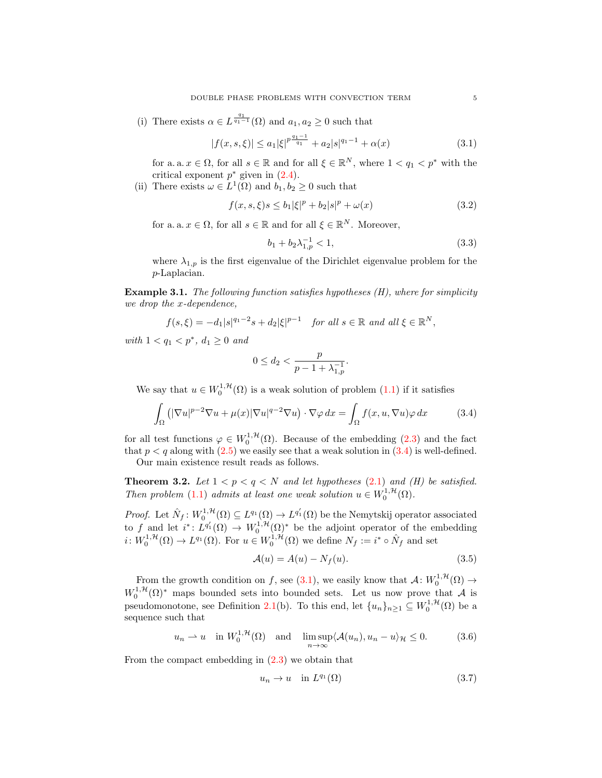(i) There exists  $\alpha \in L^{\frac{q_1}{q_1-1}}(\Omega)$  and  $a_1, a_2 \geq 0$  such that

$$
|f(x,s,\xi)| \le a_1 |\xi|^{p \frac{q_1 - 1}{q_1}} + a_2 |s|^{q_1 - 1} + \alpha(x)
$$
\n(3.1)

for a. a.  $x \in \Omega$ , for all  $s \in \mathbb{R}$  and for all  $\xi \in \mathbb{R}^N$ , where  $1 < q_1 < p^*$  with the critical exponent  $p^*$  given in  $(2.4)$ .

(ii) There exists  $\omega \in L^1(\Omega)$  and  $b_1, b_2 \geq 0$  such that

$$
f(x, s, \xi)s \le b_1 |\xi|^p + b_2 |s|^p + \omega(x)
$$
\n(3.2)

for a. a.  $x \in \Omega$ , for all  $s \in \mathbb{R}$  and for all  $\xi \in \mathbb{R}^N$ . Moreover,

<span id="page-4-5"></span><span id="page-4-4"></span><span id="page-4-1"></span>
$$
b_1 + b_2 \lambda_{1,p}^{-1} < 1,\tag{3.3}
$$

where  $\lambda_{1,p}$  is the first eigenvalue of the Dirichlet eigenvalue problem for the p-Laplacian.

**Example 3.1.** The following function satisfies hypotheses  $(H)$ , where for simplicity we drop the x-dependence,

$$
f(s,\xi) = -d_1|s|^{q_1-2}s + d_2|\xi|^{p-1} \quad \text{for all } s \in \mathbb{R} \text{ and all } \xi \in \mathbb{R}^N,
$$

with  $1 < q_1 < p^*$ ,  $d_1 \ge 0$  and

<span id="page-4-0"></span>
$$
0 \le d_2 < \frac{p}{p - 1 + \lambda_{1, p}^{-1}}.
$$

We say that  $u \in W_0^{1,\mathcal{H}}(\Omega)$  is a weak solution of problem  $(1.1)$  if it satisfies

$$
\int_{\Omega} \left( |\nabla u|^{p-2} \nabla u + \mu(x) |\nabla u|^{q-2} \nabla u \right) \cdot \nabla \varphi \, dx = \int_{\Omega} f(x, u, \nabla u) \varphi \, dx \tag{3.4}
$$

for all test functions  $\varphi \in W_0^{1,\mathcal{H}}(\Omega)$ . Because of the embedding [\(2.3\)](#page-2-3) and the fact that  $p < q$  along with [\(2.5\)](#page-2-4) we easily see that a weak solution in [\(3.4\)](#page-4-0) is well-defined.

Our main existence result reads as follows.

**Theorem 3.2.** Let  $1 < p < q < N$  and let hypotheses [\(2.1\)](#page-1-1) and (H) be satisfied. Then problem [\(1.1\)](#page-0-0) admits at least one weak solution  $u \in W_0^{1, H}(\Omega)$ .

*Proof.* Let  $\hat{N}_f: W_0^{1,\mathcal{H}}(\Omega) \subseteq L^{q_1}(\Omega) \to L^{q'_1}(\Omega)$  be the Nemytskij operator associated to f and let  $i^*: L^{q'_1}(\Omega) \to W_0^{1,\mathcal{H}}(\Omega)^*$  be the adjoint operator of the embedding  $i: W_0^{1,\mathcal{H}}(\Omega) \to L^{q_1}(\Omega)$ . For  $u \in W_0^{1,\mathcal{H}}(\Omega)$  we define  $N_f := i^* \circ \hat{N}_f$  and set

<span id="page-4-6"></span>
$$
\mathcal{A}(u) = A(u) - N_f(u). \tag{3.5}
$$

From the growth condition on f, see [\(3.1\)](#page-4-1), we easily know that  $\mathcal{A}: W_0^{1,\mathcal{H}}(\Omega) \to$  $W_0^{1,\mathcal{H}}(\Omega)^*$  maps bounded sets into bounded sets. Let us now prove that A is pseudomonotone, see Definition [2.1\(](#page-3-3)b). To this end, let  $\{u_n\}_{n\geq 1} \subseteq W_0^{1,\mathcal{H}}(\Omega)$  be a sequence such that

$$
u_n \rightharpoonup u
$$
 in  $W_0^{1,\mathcal{H}}(\Omega)$  and  $\limsup_{n \to \infty} \langle \mathcal{A}(u_n), u_n - u \rangle_{\mathcal{H}} \le 0.$  (3.6)

From the compact embedding in  $(2.3)$  we obtain that

<span id="page-4-3"></span><span id="page-4-2"></span>
$$
u_n \to u \quad \text{in } L^{q_1}(\Omega) \tag{3.7}
$$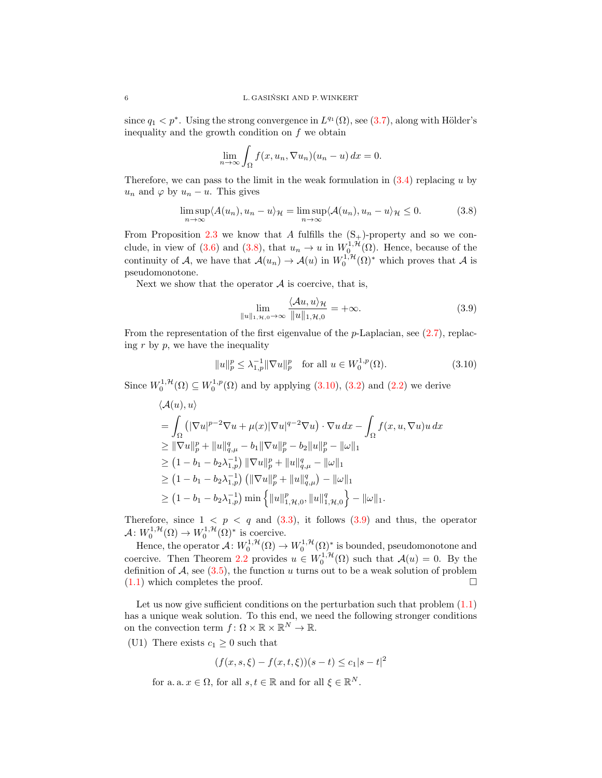since  $q_1 < p^*$ . Using the strong convergence in  $L^{q_1}(\Omega)$ , see [\(3.7\)](#page-4-2), along with Hölder's inequality and the growth condition on f we obtain

$$
\lim_{n \to \infty} \int_{\Omega} f(x, u_n, \nabla u_n)(u_n - u) dx = 0.
$$

Therefore, we can pass to the limit in the weak formulation in  $(3.4)$  replacing u by  $u_n$  and  $\varphi$  by  $u_n - u$ . This gives

$$
\limsup_{n \to \infty} \langle A(u_n), u_n - u \rangle_{\mathcal{H}} = \limsup_{n \to \infty} \langle A(u_n), u_n - u \rangle_{\mathcal{H}} \le 0.
$$
 (3.8)

From Proposition [2.3](#page-3-4) we know that A fulfills the  $(S_+)$ -property and so we con-clude, in view of [\(3.6\)](#page-4-3) and [\(3.8\)](#page-5-0), that  $u_n \to u$  in  $W^{1,\mathcal{H}}_{0}(\Omega)$ . Hence, because of the continuity of A, we have that  $\mathcal{A}(u_n) \to \mathcal{A}(u)$  in  $W_0^{1,1}(\Omega)^*$  which proves that A is pseudomonotone.

Next we show that the operator  $A$  is coercive, that is,

<span id="page-5-2"></span><span id="page-5-1"></span><span id="page-5-0"></span>
$$
\lim_{\|u\|_{1,\mathcal{H},0}\to\infty} \frac{\langle \mathcal{A}u, u \rangle_{\mathcal{H}}}{\|u\|_{1,\mathcal{H},0}} = +\infty.
$$
 (3.9)

From the representation of the first eigenvalue of the p-Laplacian, see  $(2.7)$ , replacing  $r$  by  $p$ , we have the inequality

$$
||u||_p^p \le \lambda_{1,p}^{-1} ||\nabla u||_p^p \quad \text{for all } u \in W_0^{1,p}(\Omega). \tag{3.10}
$$

Since  $W_0^{1,\mathcal{H}}(\Omega) \subseteq W_0^{1,p}(\Omega)$  and by applying  $(3.10)$ ,  $(3.2)$  and  $(2.2)$  we derive

$$
\langle \mathcal{A}(u), u \rangle
$$
  
=  $\int_{\Omega} (|\nabla u|^{p-2} \nabla u + \mu(x)|\nabla u|^{q-2} \nabla u) \cdot \nabla u \, dx - \int_{\Omega} f(x, u, \nabla u) u \, dx$   
 $\geq ||\nabla u||_p^p + ||u||_{q,\mu}^q - b_1 ||\nabla u||_p^p - b_2 ||u||_p^p - ||\omega||_1$   
 $\geq (1 - b_1 - b_2 \lambda_{1,p}^{-1}) ||\nabla u||_p^p + ||u||_{q,\mu}^q - ||\omega||_1$   
 $\geq (1 - b_1 - b_2 \lambda_{1,p}^{-1}) (||\nabla u||_p^p + ||u||_{q,\mu}^q) - ||\omega||_1$   
 $\geq (1 - b_1 - b_2 \lambda_{1,p}^{-1}) \min \left\{ ||u||_{1,\mathcal{H},0}^p, ||u||_{1,\mathcal{H},0}^q \right\} - ||\omega||_1.$ 

Therefore, since  $1 \leq p \leq q$  and  $(3.3)$ , it follows  $(3.9)$  and thus, the operator  $\mathcal{A}: W_0^{1, \mathcal{H}}(\Omega) \to W_0^{1, \mathcal{H}}(\Omega)^*$  is coercive.

Hence, the operator  $\mathcal{A}: W_0^{1,\mathcal{H}}(\Omega) \to W_0^{1,\mathcal{H}}(\Omega)^*$  is bounded, pseudomonotone and coercive. Then Theorem [2.2](#page-3-6) provides  $u \in W_0^{1, \mathcal{H}}(\Omega)$  such that  $\mathcal{A}(u) = 0$ . By the definition of  $A$ , see [\(3.5\)](#page-4-6), the function u turns out to be a weak solution of problem  $(1.1)$  which completes the proof.

Let us now give sufficient conditions on the perturbation such that problem  $(1.1)$ has a unique weak solution. To this end, we need the following stronger conditions on the convection term  $f: \Omega \times \mathbb{R} \times \mathbb{R}^N \to \mathbb{R}$ .

(U1) There exists  $c_1 \geq 0$  such that

 $(f(x, s, \xi) - f(x, t, \xi))(s - t) \leq c_1|s - t|^2$ 

for a. a.  $x \in \Omega$ , for all  $s, t \in \mathbb{R}$  and for all  $\xi \in \mathbb{R}^N$ .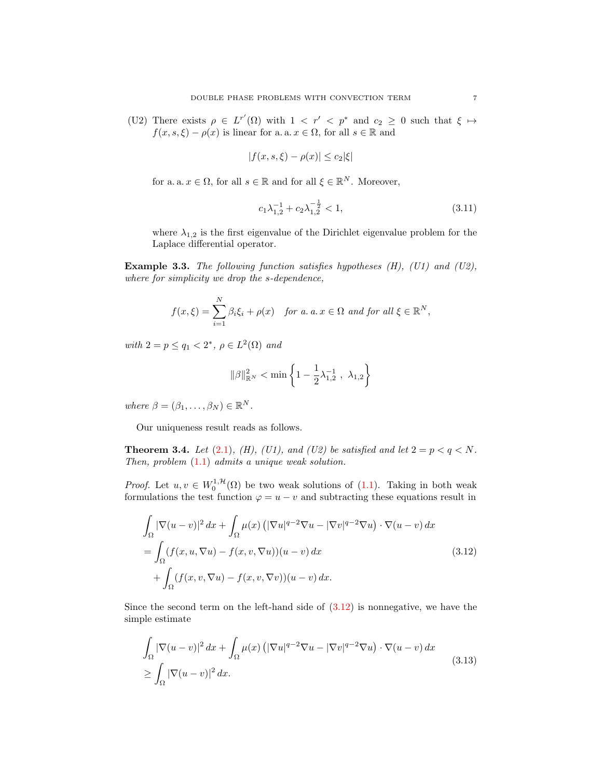(U2) There exists  $\rho \in L^{r'}(\Omega)$  with  $1 \langle r' \langle p^* \rangle$  and  $c_2 \geq 0$  such that  $\xi \mapsto$  $f(x, s, \xi) - \rho(x)$  is linear for a. a.  $x \in \Omega$ , for all  $s \in \mathbb{R}$  and

$$
|f(x, s, \xi) - \rho(x)| \le c_2 |\xi|
$$

for a. a.  $x \in \Omega$ , for all  $s \in \mathbb{R}$  and for all  $\xi \in \mathbb{R}^N$ . Moreover,

<span id="page-6-2"></span>
$$
c_1 \lambda_{1,2}^{-1} + c_2 \lambda_{1,2}^{-\frac{1}{2}} < 1,\tag{3.11}
$$

where  $\lambda_{1,2}$  is the first eigenvalue of the Dirichlet eigenvalue problem for the Laplace differential operator.

**Example 3.3.** The following function satisfies hypotheses  $(H)$ ,  $(U1)$  and  $(U2)$ , where for simplicity we drop the s-dependence,

$$
f(x,\xi) = \sum_{i=1}^{N} \beta_i \xi_i + \rho(x) \quad \text{for a. } a \cdot x \in \Omega \text{ and for all } \xi \in \mathbb{R}^N,
$$

with  $2 = p \leq q_1 < 2^*$ ,  $\rho \in L^2(\Omega)$  and

<span id="page-6-0"></span>
$$
\|\beta\|_{\mathbb{R}^N}^2 < \min\left\{1 - \frac{1}{2}\lambda_{1,2}^{-1} \; , \; \lambda_{1,2}\right\}
$$

where  $\beta = (\beta_1, \ldots, \beta_N) \in \mathbb{R}^N$ .

Our uniqueness result reads as follows.

**Theorem 3.4.** Let  $(2.1)$ ,  $(H)$ ,  $(U1)$ , and  $(U2)$  be satisfied and let  $2 = p < q < N$ . Then, problem [\(1.1\)](#page-0-0) admits a unique weak solution.

*Proof.* Let  $u, v \in W_0^{1, H}(\Omega)$  be two weak solutions of [\(1.1\)](#page-0-0). Taking in both weak formulations the test function  $\varphi = u - v$  and subtracting these equations result in

$$
\int_{\Omega} |\nabla(u - v)|^2 dx + \int_{\Omega} \mu(x) (|\nabla u|^{q-2} \nabla u - |\nabla v|^{q-2} \nabla u) \cdot \nabla(u - v) dx
$$
  
\n
$$
= \int_{\Omega} (f(x, u, \nabla u) - f(x, v, \nabla u))(u - v) dx
$$
  
\n
$$
+ \int_{\Omega} (f(x, v, \nabla u) - f(x, v, \nabla v))(u - v) dx.
$$
\n(3.12)

Since the second term on the left-hand side of  $(3.12)$  is nonnegative, we have the simple estimate

<span id="page-6-1"></span>
$$
\int_{\Omega} |\nabla(u-v)|^2 dx + \int_{\Omega} \mu(x) \left( |\nabla u|^{q-2} \nabla u - |\nabla v|^{q-2} \nabla u \right) \cdot \nabla (u-v) dx
$$
\n
$$
\geq \int_{\Omega} |\nabla (u-v)|^2 dx.
$$
\n(3.13)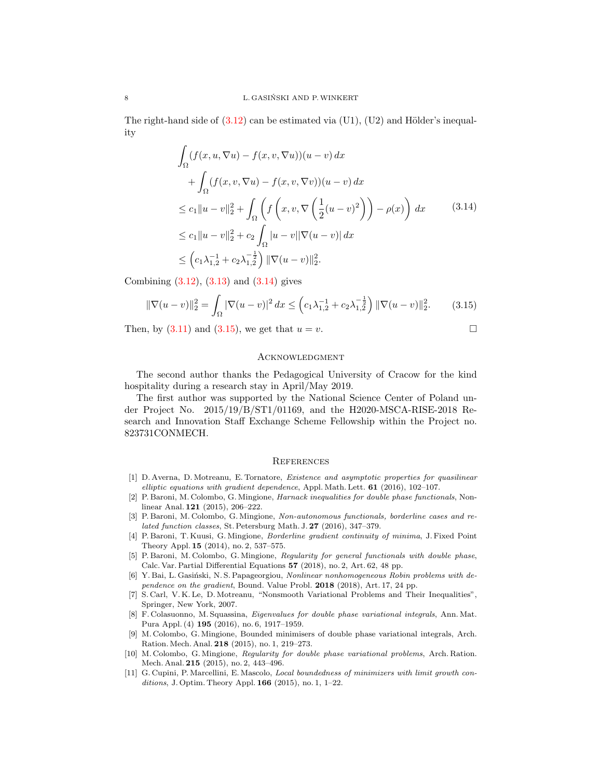The right-hand side of  $(3.12)$  can be estimated via  $(U1)$ ,  $(U2)$  and Hölder's inequality

$$
\int_{\Omega} (f(x, u, \nabla u) - f(x, v, \nabla u))(u - v) dx \n+ \int_{\Omega} (f(x, v, \nabla u) - f(x, v, \nabla v))(u - v) dx \n\leq c_1 ||u - v||_2^2 + \int_{\Omega} \left( f\left(x, v, \nabla \left(\frac{1}{2}(u - v)^2\right)\right) - \rho(x) \right) dx \qquad (3.14) \n\leq c_1 ||u - v||_2^2 + c_2 \int_{\Omega} |u - v||\nabla(u - v)| dx \n\leq \left(c_1 \lambda_{1,2}^{-1} + c_2 \lambda_{1,2}^{-\frac{1}{2}}\right) ||\nabla(u - v)||_2^2.
$$

Combining  $(3.12)$ ,  $(3.13)$  and  $(3.14)$  gives

$$
\|\nabla(u-v)\|_2^2 = \int_{\Omega} |\nabla(u-v)|^2 dx \le \left(c_1 \lambda_{1,2}^{-1} + c_2 \lambda_{1,2}^{-\frac{1}{2}}\right) \|\nabla(u-v)\|_2^2. \tag{3.15}
$$

Then, by  $(3.11)$  and  $(3.15)$ , we get that  $u = v$ .

<span id="page-7-12"></span><span id="page-7-11"></span>
$$
\qquad \qquad \Box
$$

# **ACKNOWLEDGMENT**

The second author thanks the Pedagogical University of Cracow for the kind hospitality during a research stay in April/May 2019.

The first author was supported by the National Science Center of Poland under Project No. 2015/19/B/ST1/01169, and the H2020-MSCA-RISE-2018 Research and Innovation Staff Exchange Scheme Fellowship within the Project no. 823731CONMECH.

#### **REFERENCES**

- <span id="page-7-8"></span>[1] D. Averna, D. Motreanu, E. Tornatore, Existence and asymptotic properties for quasilinear elliptic equations with gradient dependence, Appl. Math. Lett. 61 (2016), 102–107.
- <span id="page-7-0"></span>[2] P. Baroni, M. Colombo, G. Mingione, Harnack inequalities for double phase functionals, Nonlinear Anal. 121 (2015), 206–222.
- <span id="page-7-1"></span>[3] P. Baroni, M. Colombo, G. Mingione, Non-autonomous functionals, borderline cases and related function classes, St. Petersburg Math. J. 27 (2016), 347–379.
- <span id="page-7-3"></span>[4] P. Baroni, T. Kuusi, G. Mingione, Borderline gradient continuity of minima, J. Fixed Point Theory Appl. 15 (2014), no. 2, 537–575.
- <span id="page-7-2"></span>[5] P. Baroni, M. Colombo, G. Mingione, Regularity for general functionals with double phase, Calc. Var. Partial Differential Equations  $57$  (2018), no. 2, Art. 62, 48 pp.
- <span id="page-7-9"></span>[6] Y. Bai, L. Gasiński, N. S. Papageorgiou, Nonlinear nonhomogeneous Robin problems with dependence on the gradient, Bound. Value Probl.  $2018$  (2018), Art. 17, 24 pp.
- <span id="page-7-10"></span>[7] S. Carl, V. K. Le, D. Motreanu, "Nonsmooth Variational Problems and Their Inequalities", Springer, New York, 2007.
- <span id="page-7-7"></span>[8] F. Colasuonno, M. Squassina, Eigenvalues for double phase variational integrals, Ann. Mat. Pura Appl. (4) 195 (2016), no. 6, 1917–1959.
- <span id="page-7-4"></span>[9] M. Colombo, G. Mingione, Bounded minimisers of double phase variational integrals, Arch. Ration. Mech. Anal. 218 (2015), no. 1, 219–273.
- <span id="page-7-5"></span>[10] M. Colombo, G. Mingione, Regularity for double phase variational problems, Arch. Ration. Mech. Anal. 215 (2015), no. 2, 443–496.
- <span id="page-7-6"></span>[11] G. Cupini, P. Marcellini, E. Mascolo, Local boundedness of minimizers with limit growth conditions, J. Optim. Theory Appl. 166 (2015), no. 1, 1–22.